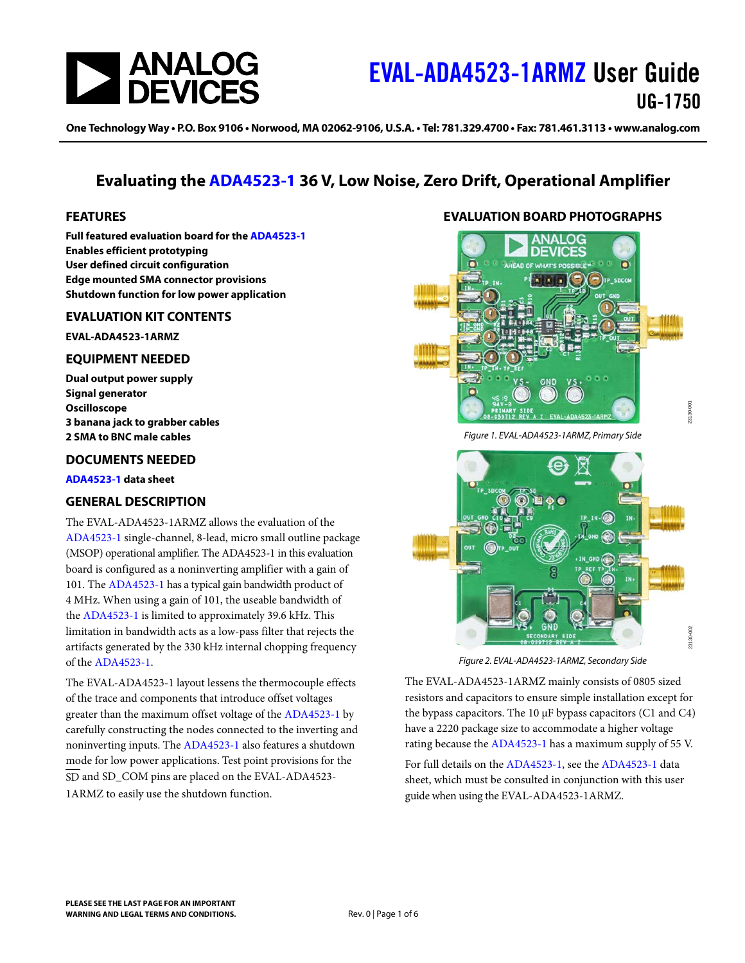

One Technology Way • P.O. Box 9106 • Norwood, MA 02062-9106, U.S.A. • Tel: 781.329.4700 • Fax: 781.461.3113 • www.analog.com

## **Evaluating the [ADA4523-1](https://www.analog.com/ADA4523-1?doc=EVAL-ADA4523-1ARMZ-UG-1750.pdf) 36 V, Low Noise, Zero Drift, Operational Amplifier**

#### <span id="page-0-0"></span>**FEATURES**

**Full featured evaluation board for th[e ADA4523-1](https://www.analog.com/ADA4523-1?doc=EVAL-ADA4523-1ARMZ-UG-1750.pdf) Enables efficient prototyping User defined circuit configuration Edge mounted SMA connector provisions Shutdown function for low power application**

#### <span id="page-0-1"></span>**EVALUATION KIT CONTENTS**

**EVAL-ADA4523-1ARMZ**

#### <span id="page-0-2"></span>**EQUIPMENT NEEDED**

**Dual output power supply Signal generator Oscilloscope 3 banana jack to grabber cables 2 SMA to BNC male cables**

#### <span id="page-0-3"></span>**DOCUMENTS NEEDED**

**[ADA4523-1](https://www.analog.com/ADA4523-1?doc=EVAL-ADA4523-1ARMZ-UG-1750.pdf) data sheet**

### <span id="page-0-4"></span>**GENERAL DESCRIPTION**

The EVAL-ADA4523-1ARMZ allows the evaluation of the [ADA4523-1](https://www.analog.com/ADA4523-1?doc=EVAL-ADA4523-1ARMZ-UG-1750.pdf) single-channel, 8-lead, micro small outline package (MSOP) operational amplifier. The ADA4523-1 in this evaluation board is configured as a noninverting amplifier with a gain of 101. The [ADA4523-1](https://www.analog.com/ADA4523-1?doc=EVAL-ADA4523-1ARMZ-UG-1750.pdf) has a typical gain bandwidth product of 4 MHz. When using a gain of 101, the useable bandwidth of the [ADA4523-1](https://www.analog.com/ADA4523-1?doc=EVAL-ADA4523-1ARMZ-UG-1750.pdf) is limited to approximately 39.6 kHz. This limitation in bandwidth acts as a low-pass filter that rejects the artifacts generated by the 330 kHz internal chopping frequency of the [ADA4523-1.](https://www.analog.com/ADA4523-1?doc=EVAL-ADA4523-1ARMZ-UG-1750.pdf)

The EVAL-ADA4523-1 layout lessens the thermocouple effects of the trace and components that introduce offset voltages greater than the maximum offset voltage of the [ADA4523-1](https://www.analog.com/ADA4523-1?doc=EVAL-ADA4523-1ARMZ-UG-1750.pdf) by carefully constructing the nodes connected to the inverting and noninverting inputs. The [ADA4523-1](https://www.analog.com/ADA4523-1?doc=EVAL-ADA4523-1ARMZ-UG-1750.pdf) also features a shutdown mode for low power applications. Test point provisions for the SD and SD\_COM pins are placed on the EVAL-ADA4523- 1ARMZ to easily use the shutdown function.

### **EVALUATION BOARD PHOTOGRAPHS**

<span id="page-0-5"></span>

*Figure 1. EVAL-ADA4523-1ARMZ, Primary Side*

23130-001



*Figure 2. EVAL-ADA4523-1ARMZ, Secondary Side*

The EVAL-ADA4523-1ARMZ mainly consists of 0805 sized resistors and capacitors to ensure simple installation except for the bypass capacitors. The  $10 \mu$ F bypass capacitors (C1 and C4) have a 2220 package size to accommodate a higher voltage rating because th[e ADA4523-1](https://www.analog.com/ADA4523-1?doc=EVAL-ADA4523-1ARMZ-UG-1750.pdf) has a maximum supply of 55 V.

For full details on th[e ADA4523-1,](https://www.analog.com/ADA4523-1?doc=EVAL-ADA4523-1ARMZ-UG-1750.pdf) see th[e ADA4523-1](https://www.analog.com/ADA4523-1?doc=EVAL-ADA4523-1ARMZ-UG-1750.pdf) data sheet, which must be consulted in conjunction with this user guide when using the EVAL-ADA4523-1ARMZ.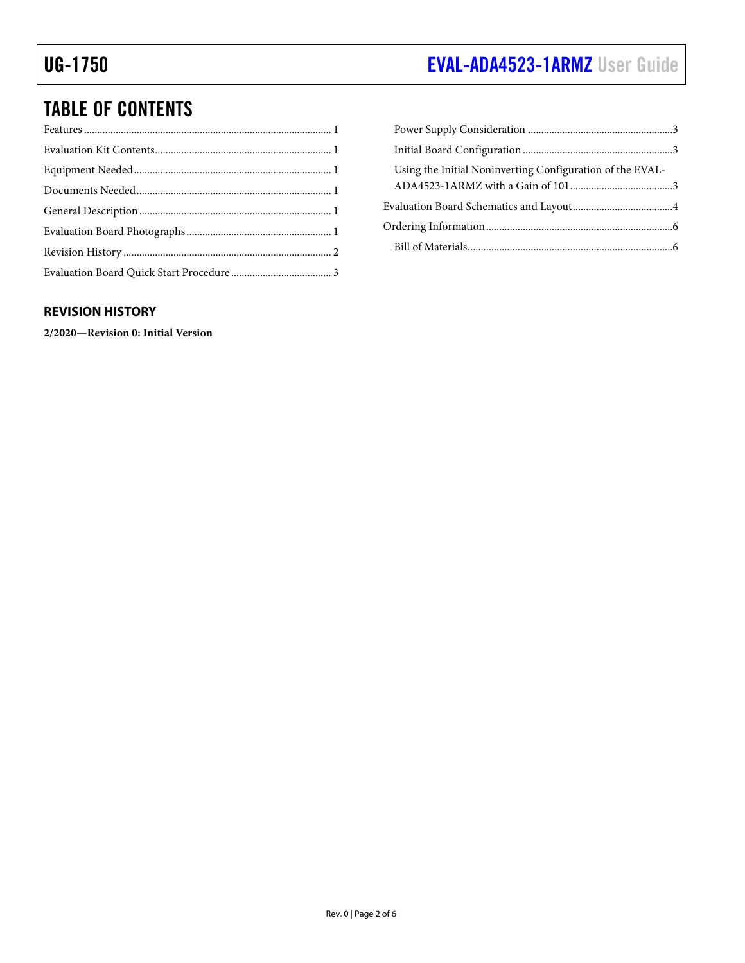# UG-1750 **[EVAL-ADA4523-1ARMZ](https://www.analog.com/EVAL-ADA4523-1?doc=EVAL-ADA4523-1ARMZ-UG-1750.pdf)** User Guide

# TABLE OF CONTENTS

| Using the Initial Noninverting Configuration of the EVAL- |  |
|-----------------------------------------------------------|--|
|                                                           |  |
|                                                           |  |
|                                                           |  |

### <span id="page-1-0"></span>**REVISION HISTORY**

**2/2020—Revision 0: Initial Version**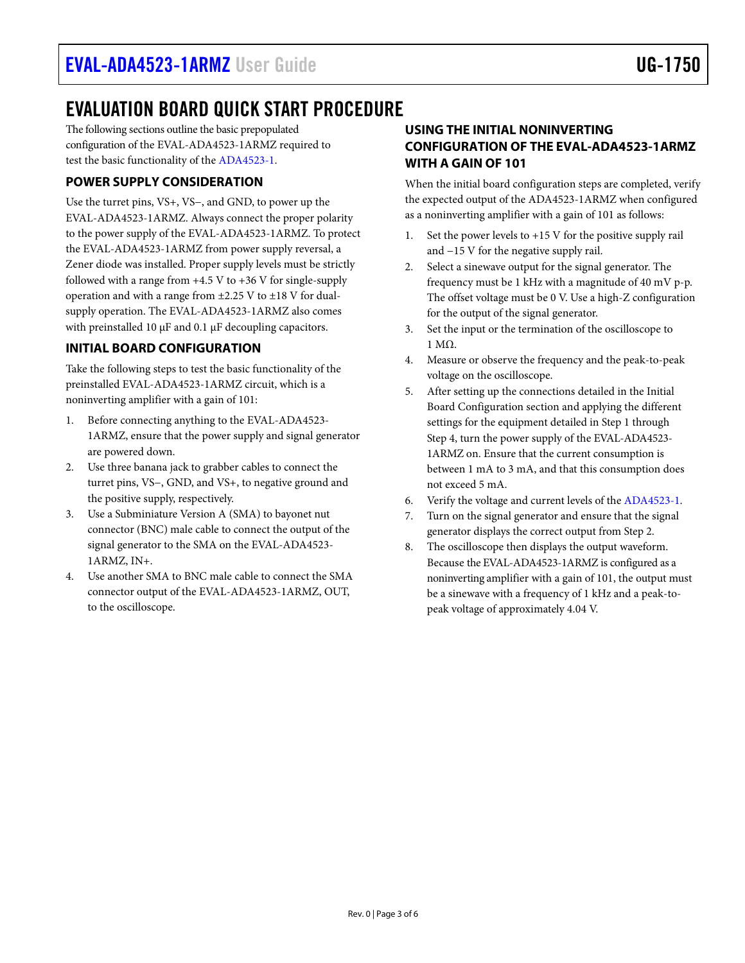# <span id="page-2-0"></span>EVALUATION BOARD QUICK START PROCEDURE

The following sections outline the basic prepopulated configuration of the EVAL-ADA4523-1ARMZ required to test the basic functionality of th[e ADA4523-1.](https://www.analog.com/ADA4523-1?doc=EVAL-ADA4523-1ARMZ-UG-1750.pdf) 

### <span id="page-2-1"></span>**POWER SUPPLY CONSIDERATION**

Use the turret pins, VS+, VS−, and GND, to power up the EVAL-ADA4523-1ARMZ. Always connect the proper polarity to the power supply of the EVAL-ADA4523-1ARMZ. To protect the EVAL-ADA4523-1ARMZ from power supply reversal, a Zener diode was installed. Proper supply levels must be strictly followed with a range from  $+4.5$  V to  $+36$  V for single-supply operation and with a range from  $\pm$ 2.25 V to  $\pm$ 18 V for dualsupply operation. The EVAL-ADA4523-1ARMZ also comes with preinstalled 10 µF and 0.1 µF decoupling capacitors.

### <span id="page-2-2"></span>**INITIAL BOARD CONFIGURATION**

Take the following steps to test the basic functionality of the preinstalled EVAL-ADA4523-1ARMZ circuit, which is a noninverting amplifier with a gain of 101:

- Before connecting anything to the EVAL-ADA4523-1ARMZ, ensure that the power supply and signal generator are powered down.
- 2. Use three banana jack to grabber cables to connect the turret pins, VS−, GND, and VS+, to negative ground and the positive supply, respectively.
- 3. Use a Subminiature Version A (SMA) to bayonet nut connector (BNC) male cable to connect the output of the signal generator to the SMA on the EVAL-ADA4523- 1ARMZ, IN+.
- 4. Use another SMA to BNC male cable to connect the SMA connector output of the EVAL-ADA4523-1ARMZ, OUT, to the oscilloscope.

### <span id="page-2-3"></span>**USING THE INITIAL NONINVERTING CONFIGURATION OF THE EVAL-ADA4523-1ARMZ WITH A GAIN OF 101**

When the initial board configuration steps are completed, verify the expected output of the ADA4523-1ARMZ when configured as a noninverting amplifier with a gain of 101 as follows:

- 1. Set the power levels to +15 V for the positive supply rail and −15 V for the negative supply rail.
- 2. Select a sinewave output for the signal generator. The frequency must be 1 kHz with a magnitude of 40 mV p-p. The offset voltage must be 0 V. Use a high-Z configuration for the output of the signal generator.
- 3. Set the input or the termination of the oscilloscope to 1 MΩ.
- 4. Measure or observe the frequency and the peak-to-peak voltage on the oscilloscope.
- 5. After setting up the connections detailed in th[e Initial](#page-2-2)  [Board Configuration](#page-2-2) section and applying the different settings for the equipment detailed in Step 1 through Step 4, turn the power supply of the EVAL-ADA4523- 1ARMZ on. Ensure that the current consumption is between 1 mA to 3 mA, and that this consumption does not exceed 5 mA.
- 6. Verify the voltage and current levels of the [ADA4523-1.](https://www.analog.com/ADA4523-1?doc=EVAL-ADA4523-1ARMZ-UG-1750.pdf)
- 7. Turn on the signal generator and ensure that the signal generator displays the correct output from Step 2.
- 8. The oscilloscope then displays the output waveform. Because the EVAL-ADA4523-1ARMZ is configured as a noninverting amplifier with a gain of 101, the output must be a sinewave with a frequency of 1 kHz and a peak-topeak voltage of approximately 4.04 V.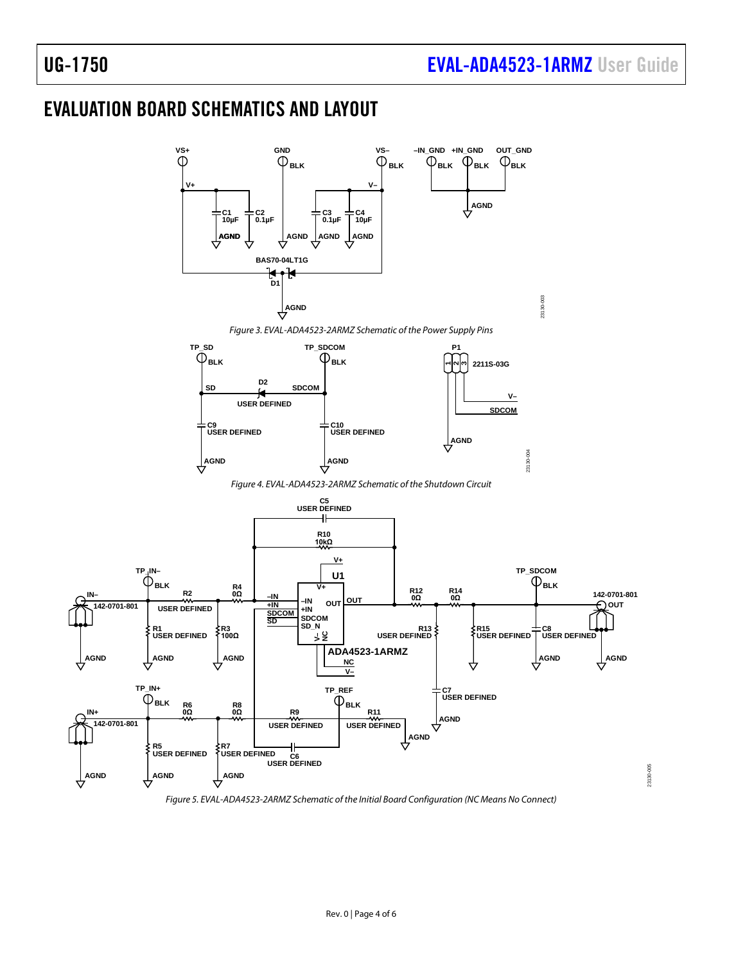23130-005

# <span id="page-3-0"></span>EVALUATION BOARD SCHEMATICS AND LAYOUT



*Figure 5. EVAL-ADA4523-2ARMZ Schematic of the Initial Board Configuration (NC Means No Connect)*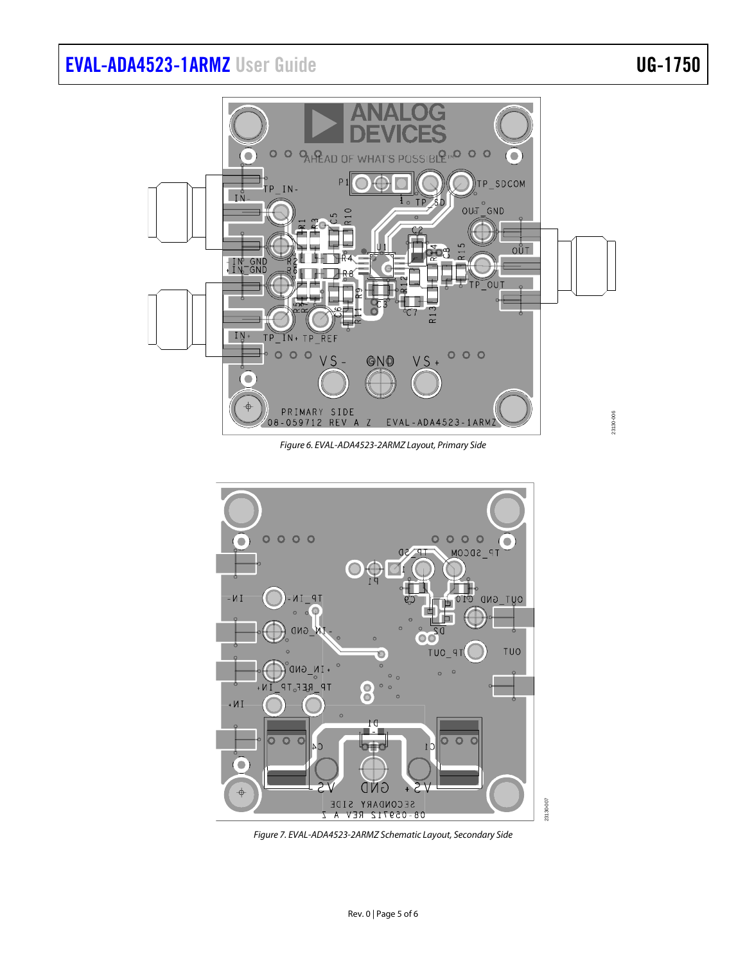# [EVAL-ADA4523-1ARMZ](https://www.analog.com/EVAL-ADA4523-1?doc=EVAL-ADA4523-1ARMZ-UG-1750.pdf) User Guide Valley Controller Controller UG-1750



*Figure 6. EVAL-ADA4523-2ARMZ Layout, Primary Side*



*Figure 7. EVAL-ADA4523-2ARMZ Schematic Layout, Secondary Side*